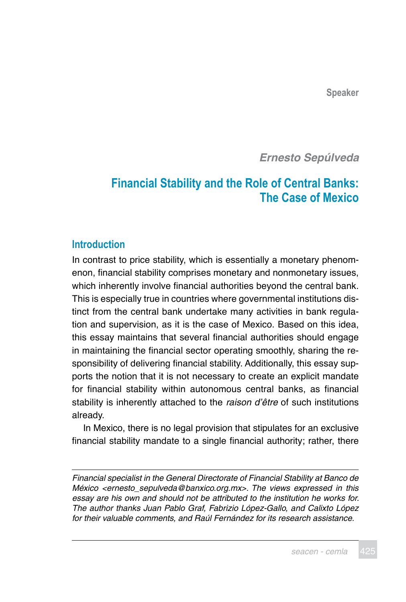*Ernesto Sepúlveda*

# **Financial Stability and the Role of Central Banks: The Case of Mexico**

## **Introduction**

In contrast to price stability, which is essentially a monetary phenomenon, financial stability comprises monetary and nonmonetary issues, which inherently involve financial authorities beyond the central bank. This is especially true in countries where governmental institutions distinct from the central bank undertake many activities in bank regulation and supervision, as it is the case of Mexico. Based on this idea, this essay maintains that several financial authorities should engage in maintaining the financial sector operating smoothly, sharing the responsibility of delivering financial stability. Additionally, this essay supports the notion that it is not necessary to create an explicit mandate for financial stability within autonomous central banks, as financial stability is inherently attached to the raison d'être of such institutions already.

In Mexico, there is no legal provision that stipulates for an exclusive financial stability mandate to a single financial authority; rather, there

Financial specialist in the General Directorate of Financial Stability at Banco de México [<ernesto\\_sepulveda@banxico.org.mx](mailto:ernesto_sepulveda@banxico.org.mx)>. The views expressed in this essay are his own and should not be attributed to the institution he works for. The author thanks Juan Pablo Graf, Fabrizio López-Gallo, and Calixto López for their valuable comments, and Raúl Fernández for its research assistance.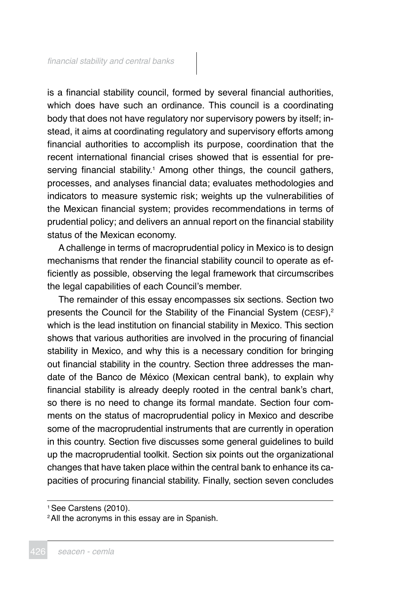is a financial stability council, formed by several financial authorities, which does have such an ordinance. This council is a coordinating body that does not have regulatory nor supervisory powers by itself; instead, it aims at coordinating regulatory and supervisory efforts among financial authorities to accomplish its purpose, coordination that the recent international financial crises showed that is essential for preserving financial stability.<sup>1</sup> Among other things, the council gathers, processes, and analyses financial data; evaluates methodologies and indicators to measure systemic risk; weights up the vulnerabilities of the Mexican financial system; provides recommendations in terms of prudential policy; and delivers an annual report on the financial stability status of the Mexican economy.

A challenge in terms of macroprudential policy in Mexico is to design mechanisms that render the financial stability council to operate as efficiently as possible, observing the legal framework that circumscribes the legal capabilities of each Council's member.

The remainder of this essay encompasses six sections. Section two presents the Council for the Stability of the Financial System (CESF),<sup>2</sup> which is the lead institution on financial stability in Mexico. This section shows that various authorities are involved in the procuring of financial stability in Mexico, and why this is a necessary condition for bringing out financial stability in the country. Section three addresses the mandate of the Banco de México (Mexican central bank), to explain why financial stability is already deeply rooted in the central bank's chart, so there is no need to change its formal mandate. Section four comments on the status of macroprudential policy in Mexico and describe some of the macroprudential instruments that are currently in operation in this country. Section five discusses some general guidelines to build up the macroprudential toolkit. Section six points out the organizational changes that have taken place within the central bank to enhance its capacities of procuring financial stability. Finally, section seven concludes

<sup>1</sup>See Carstens (2010).

<sup>&</sup>lt;sup>2</sup> All the acronyms in this essay are in Spanish.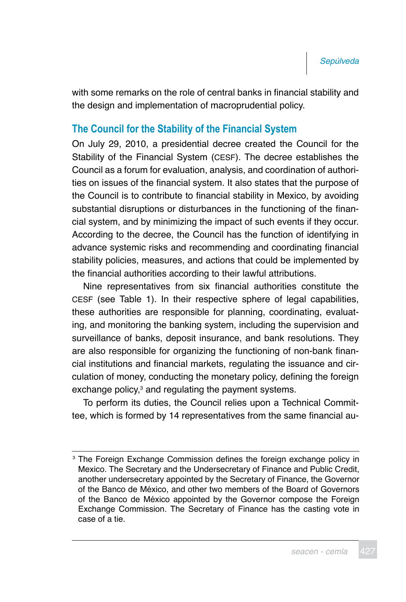with some remarks on the role of central banks in financial stability and the design and implementation of macroprudential policy.

## **The Council for the Stability of the Financial System**

On July 29, 2010, a presidential decree created the Council for the Stability of the Financial System (CESF). The decree establishes the Council as a forum for evaluation, analysis, and coordination of authorities on issues of the financial system. It also states that the purpose of the Council is to contribute to financial stability in Mexico, by avoiding substantial disruptions or disturbances in the functioning of the financial system, and by minimizing the impact of such events if they occur. According to the decree, the Council has the function of identifying in advance systemic risks and recommending and coordinating financial stability policies, measures, and actions that could be implemented by the financial authorities according to their lawful attributions.

Nine representatives from six financial authorities constitute the CESF (see Table 1). In their respective sphere of legal capabilities, these authorities are responsible for planning, coordinating, evaluating, and monitoring the banking system, including the supervision and surveillance of banks, deposit insurance, and bank resolutions. They are also responsible for organizing the functioning of non-bank financial institutions and financial markets, regulating the issuance and circulation of money, conducting the monetary policy, defining the foreign exchange policy, $3$  and regulating the payment systems.

To perform its duties, the Council relies upon a Technical Committee, which is formed by 14 representatives from the same financial au-

<sup>&</sup>lt;sup>3</sup> The Foreign Exchange Commission defines the foreign exchange policy in Mexico. The Secretary and the Undersecretary of Finance and Public Credit, another undersecretary appointed by the Secretary of Finance, the Governor of the Banco de México, and other two members of the Board of Governors of the Banco de México appointed by the Governor compose the Foreign Exchange Commission. The Secretary of Finance has the casting vote in case of a tie.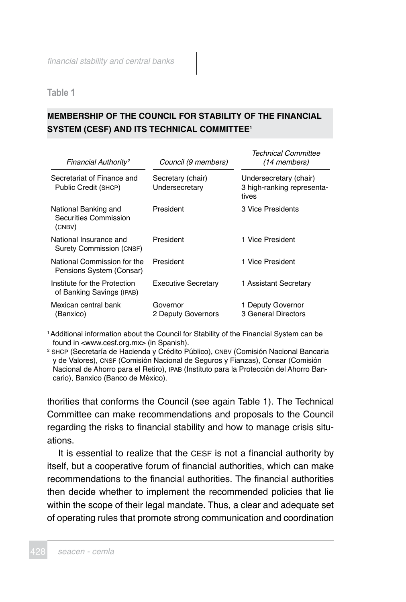**Table 1**

## **MEMBERSHIP OF THE COUNCIL FOR STABILITY OF THE FINANCIAL SYSTEM (CESF) AND ITS TECHNICAL COMMITTEE1**

| Financial Authority <sup>2</sup>                          | Council (9 members)                 | Technical Committee<br>(14 members)                           |
|-----------------------------------------------------------|-------------------------------------|---------------------------------------------------------------|
| Secretariat of Finance and<br>Public Credit (SHCP)        | Secretary (chair)<br>Undersecretary | Undersecretary (chair)<br>3 high-ranking representa-<br>tives |
| National Banking and<br>Securities Commission<br>(CNBV)   | President                           | 3 Vice Presidents                                             |
| National Insurance and<br>Surety Commission (CNSF)        | President                           | 1 Vice President                                              |
| National Commission for the<br>Pensions System (Consar)   | President                           | 1 Vice President                                              |
| Institute for the Protection<br>of Banking Savings (IPAB) | <b>Executive Secretary</b>          | 1 Assistant Secretary                                         |
| Mexican central bank<br>(Banxico)                         | Governor<br>2 Deputy Governors      | 1 Deputy Governor<br>3 General Directors                      |

<sup>1</sup>Additional information about the Council for Stability of the Financial System can be found in <www.cesf.org.mx> (in Spanish).

<sup>2</sup> SHCP (Secretaría de Hacienda y Crédito Público), CNBV (Comisión Nacional Bancaria y de Valores), CNSF (Comisión Nacional de Seguros y Fianzas), Consar (Comisión Nacional de Ahorro para el Retiro), IPAB (Instituto para la Protección del Ahorro Bancario), Banxico (Banco de México).

thorities that conforms the Council (see again Table 1). The Technical Committee can make recommendations and proposals to the Council regarding the risks to financial stability and how to manage crisis situations.

It is essential to realize that the CESF is not a financial authority by itself, but a cooperative forum of financial authorities, which can make recommendations to the financial authorities. The financial authorities then decide whether to implement the recommended policies that lie within the scope of their legal mandate. Thus, a clear and adequate set of operating rules that promote strong communication and coordination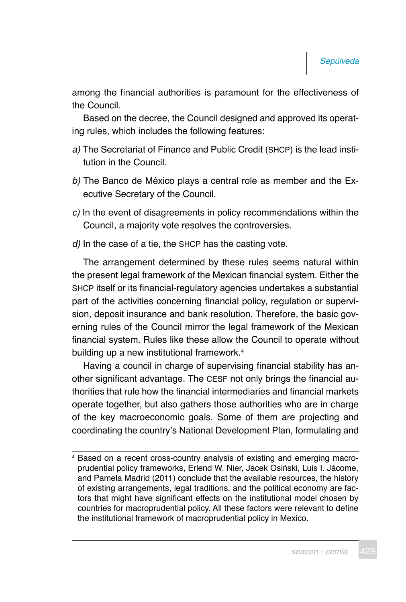among the financial authorities is paramount for the effectiveness of the Council.

Based on the decree, the Council designed and approved its operating rules, which includes the following features:

- a) The Secretariat of Finance and Public Credit (SHCP) is the lead institution in the Council.
- b) The Banco de México plays a central role as member and the Executive Secretary of the Council.
- c) In the event of disagreements in policy recommendations within the Council, a majority vote resolves the controversies.
- d) In the case of a tie, the SHCP has the casting vote.

The arrangement determined by these rules seems natural within the present legal framework of the Mexican financial system. Either the SHCP itself or its financial-regulatory agencies undertakes a substantial part of the activities concerning financial policy, regulation or supervision, deposit insurance and bank resolution. Therefore, the basic governing rules of the Council mirror the legal framework of the Mexican financial system. Rules like these allow the Council to operate without building up a new institutional framework.<sup>4</sup>

Having a council in charge of supervising financial stability has another significant advantage. The CESF not only brings the financial authorities that rule how the financial intermediaries and financial markets operate together, but also gathers those authorities who are in charge of the key macroeconomic goals. Some of them are projecting and coordinating the country's National Development Plan, formulating and

<sup>4</sup> Based on a recent cross-country analysis of existing and emerging macroprudential policy frameworks, Erlend W. Nier, Jacek Osiński, Luis I. Jácome, and Pamela Madrid (2011) conclude that the available resources, the history of existing arrangements, legal traditions, and the political economy are factors that might have significant effects on the institutional model chosen by countries for macroprudential policy. All these factors were relevant to define the institutional framework of macroprudential policy in Mexico.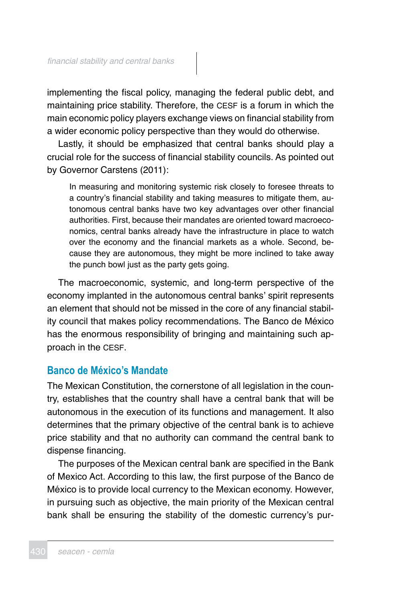implementing the fiscal policy, managing the federal public debt, and maintaining price stability. Therefore, the CESF is a forum in which the main economic policy players exchange views on financial stability from a wider economic policy perspective than they would do otherwise.

Lastly, it should be emphasized that central banks should play a crucial role for the success of financial stability councils. As pointed out by Governor Carstens (2011):

In measuring and monitoring systemic risk closely to foresee threats to a country's financial stability and taking measures to mitigate them, autonomous central banks have two key advantages over other financial authorities. First, because their mandates are oriented toward macroeconomics, central banks already have the infrastructure in place to watch over the economy and the financial markets as a whole. Second, because they are autonomous, they might be more inclined to take away the punch bowl just as the party gets going.

The macroeconomic, systemic, and long-term perspective of the economy implanted in the autonomous central banks' spirit represents an element that should not be missed in the core of any financial stability council that makes policy recommendations. The Banco de México has the enormous responsibility of bringing and maintaining such approach in the CESF.

## **Banco de México's Mandate**

The Mexican Constitution, the cornerstone of all legislation in the country, establishes that the country shall have a central bank that will be autonomous in the execution of its functions and management. It also determines that the primary objective of the central bank is to achieve price stability and that no authority can command the central bank to dispense financing.

The purposes of the Mexican central bank are specified in the Bank of Mexico Act. According to this law, the first purpose of the Banco de México is to provide local currency to the Mexican economy. However, in pursuing such as objective, the main priority of the Mexican central bank shall be ensuring the stability of the domestic currency's pur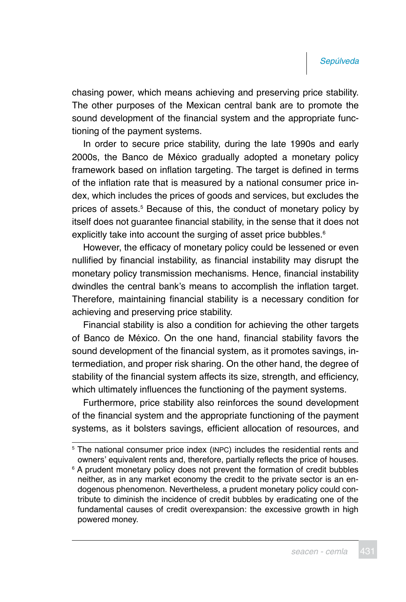chasing power, which means achieving and preserving price stability. The other purposes of the Mexican central bank are to promote the sound development of the financial system and the appropriate functioning of the payment systems.

In order to secure price stability, during the late 1990s and early 2000s, the Banco de México gradually adopted a monetary policy framework based on inflation targeting. The target is defined in terms of the inflation rate that is measured by a national consumer price index, which includes the prices of goods and services, but excludes the prices of assets.<sup>5</sup> Because of this, the conduct of monetary policy by itself does not guarantee financial stability, in the sense that it does not explicitly take into account the surging of asset price bubbles.<sup>6</sup>

However, the efficacy of monetary policy could be lessened or even nullified by financial instability, as financial instability may disrupt the monetary policy transmission mechanisms. Hence, financial instability dwindles the central bank's means to accomplish the inflation target. Therefore, maintaining financial stability is a necessary condition for achieving and preserving price stability.

Financial stability is also a condition for achieving the other targets of Banco de México. On the one hand, financial stability favors the sound development of the financial system, as it promotes savings, intermediation, and proper risk sharing. On the other hand, the degree of stability of the financial system affects its size, strength, and efficiency, which ultimately influences the functioning of the payment systems.

Furthermore, price stability also reinforces the sound development of the financial system and the appropriate functioning of the payment systems, as it bolsters savings, efficient allocation of resources, and

<sup>5</sup> The national consumer price index (INPC) includes the residential rents and owners' equivalent rents and, therefore, partially reflects the price of houses.

<sup>6</sup> A prudent monetary policy does not prevent the formation of credit bubbles neither, as in any market economy the credit to the private sector is an endogenous phenomenon. Nevertheless, a prudent monetary policy could contribute to diminish the incidence of credit bubbles by eradicating one of the fundamental causes of credit overexpansion: the excessive growth in high powered money.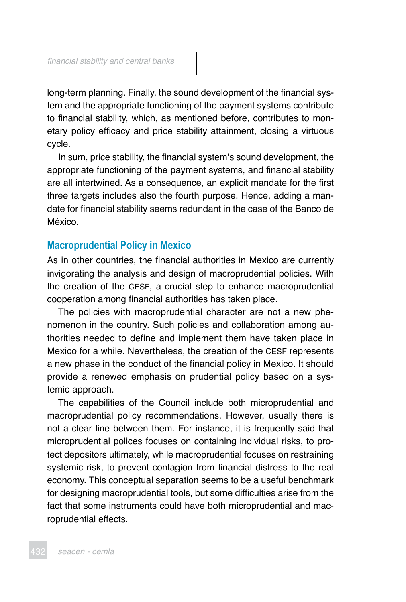long-term planning. Finally, the sound development of the financial system and the appropriate functioning of the payment systems contribute to financial stability, which, as mentioned before, contributes to monetary policy efficacy and price stability attainment, closing a virtuous cycle.

In sum, price stability, the financial system's sound development, the appropriate functioning of the payment systems, and financial stability are all intertwined. As a consequence, an explicit mandate for the first three targets includes also the fourth purpose. Hence, adding a mandate for financial stability seems redundant in the case of the Banco de México.

## **Macroprudential Policy in Mexico**

As in other countries, the financial authorities in Mexico are currently invigorating the analysis and design of macroprudential policies. With the creation of the CESF, a crucial step to enhance macroprudential cooperation among financial authorities has taken place.

The policies with macroprudential character are not a new phenomenon in the country. Such policies and collaboration among authorities needed to define and implement them have taken place in Mexico for a while. Nevertheless, the creation of the CESF represents a new phase in the conduct of the financial policy in Mexico. It should provide a renewed emphasis on prudential policy based on a systemic approach.

The capabilities of the Council include both microprudential and macroprudential policy recommendations. However, usually there is not a clear line between them. For instance, it is frequently said that microprudential polices focuses on containing individual risks, to protect depositors ultimately, while macroprudential focuses on restraining systemic risk, to prevent contagion from financial distress to the real economy. This conceptual separation seems to be a useful benchmark for designing macroprudential tools, but some difficulties arise from the fact that some instruments could have both microprudential and macroprudential effects.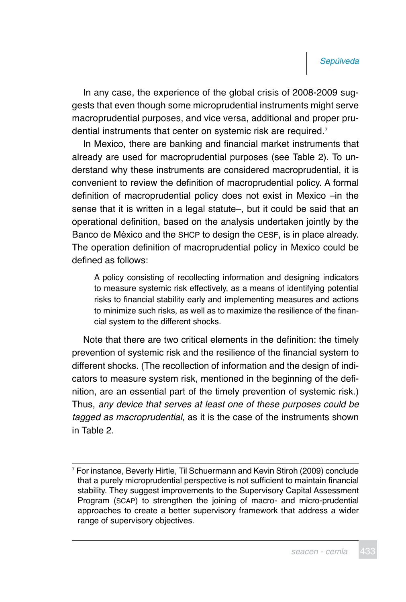In any case, the experience of the global crisis of 2008-2009 suggests that even though some microprudential instruments might serve macroprudential purposes, and vice versa, additional and proper prudential instruments that center on systemic risk are required.<sup>7</sup>

In Mexico, there are banking and financial market instruments that already are used for macroprudential purposes (see Table 2). To understand why these instruments are considered macroprudential, it is convenient to review the definition of macroprudential policy. A formal definition of macroprudential policy does not exist in Mexico –in the sense that it is written in a legal statute–, but it could be said that an operational definition, based on the analysis undertaken jointly by the Banco de México and the SHCP to design the CESF, is in place already. The operation definition of macroprudential policy in Mexico could be defined as follows:

A policy consisting of recollecting information and designing indicators to measure systemic risk effectively, as a means of identifying potential risks to financial stability early and implementing measures and actions to minimize such risks, as well as to maximize the resilience of the financial system to the different shocks.

Note that there are two critical elements in the definition: the timely prevention of systemic risk and the resilience of the financial system to different shocks. (The recollection of information and the design of indicators to measure system risk, mentioned in the beginning of the definition, are an essential part of the timely prevention of systemic risk.) Thus, any device that serves at least one of these purposes could be tagged as macroprudential, as it is the case of the instruments shown in Table 2.

<sup>7</sup> For instance, Beverly Hirtle, Til Schuermann and Kevin Stiroh (2009) conclude that a purely microprudential perspective is not sufficient to maintain financial stability. They suggest improvements to the Supervisory Capital Assessment Program (SCAP) to strengthen the joining of macro- and micro-prudential approaches to create a better supervisory framework that address a wider range of supervisory objectives.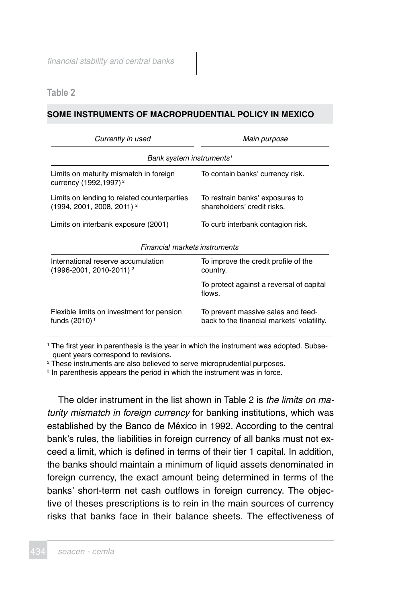**Table 2**

### **SOME INSTRUMENTS OF MACROPRUDENTIAL POLICY IN MEXICO**

| Currently in used                                                           | Main purpose                                                                     |  |  |  |
|-----------------------------------------------------------------------------|----------------------------------------------------------------------------------|--|--|--|
| Bank system instruments <sup>1</sup>                                        |                                                                                  |  |  |  |
| Limits on maturity mismatch in foreign<br>currency (1992,1997) <sup>2</sup> | To contain banks' currency risk.                                                 |  |  |  |
| Limits on lending to related counterparties<br>$(1994, 2001, 2008, 2011)^2$ | To restrain banks' exposures to<br>shareholders' credit risks.                   |  |  |  |
| Limits on interbank exposure (2001)                                         | To curb interbank contagion risk.                                                |  |  |  |
| Financial markets instruments                                               |                                                                                  |  |  |  |
| International reserve accumulation<br>(1996-2001, 2010-2011) <sup>3</sup>   | To improve the credit profile of the<br>country.                                 |  |  |  |
|                                                                             | To protect against a reversal of capital<br>flows.                               |  |  |  |
| Flexible limits on investment for pension<br>funds (2010) <sup>1</sup>      | To prevent massive sales and feed-<br>back to the financial markets' volatility. |  |  |  |

1 The first year in parenthesis is the year in which the instrument was adopted. Subsequent years correspond to revisions.

2 These instruments are also believed to serve microprudential purposes.

<sup>3</sup> In parenthesis appears the period in which the instrument was in force.

The older instrument in the list shown in Table 2 is the limits on maturity mismatch in foreign currency for banking institutions, which was established by the Banco de México in 1992. According to the central bank's rules, the liabilities in foreign currency of all banks must not exceed a limit, which is defined in terms of their tier 1 capital. In addition, the banks should maintain a minimum of liquid assets denominated in foreign currency, the exact amount being determined in terms of the banks' short-term net cash outflows in foreign currency. The objective of theses prescriptions is to rein in the main sources of currency risks that banks face in their balance sheets. The effectiveness of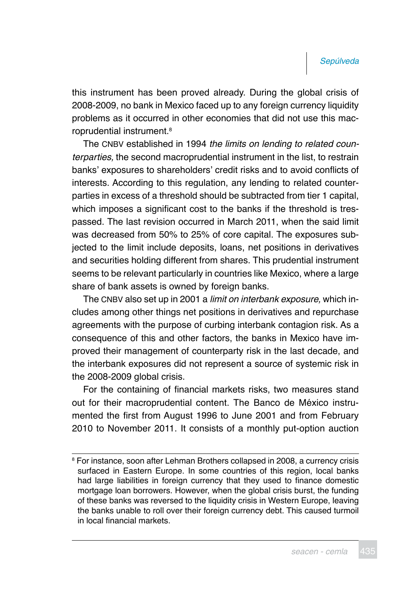this instrument has been proved already. During the global crisis of 2008-2009, no bank in Mexico faced up to any foreign currency liquidity problems as it occurred in other economies that did not use this macroprudential instrument.<sup>8</sup>

The CNBV established in 1994 the limits on lending to related counterparties, the second macroprudential instrument in the list, to restrain banks' exposures to shareholders' credit risks and to avoid conflicts of interests. According to this regulation, any lending to related counterparties in excess of a threshold should be subtracted from tier 1 capital, which imposes a significant cost to the banks if the threshold is trespassed. The last revision occurred in March 2011, when the said limit was decreased from 50% to 25% of core capital. The exposures subjected to the limit include deposits, loans, net positions in derivatives and securities holding different from shares. This prudential instrument seems to be relevant particularly in countries like Mexico, where a large share of bank assets is owned by foreign banks.

The CNBV also set up in 2001 a *limit on interbank exposure*, which includes among other things net positions in derivatives and repurchase agreements with the purpose of curbing interbank contagion risk. As a consequence of this and other factors, the banks in Mexico have improved their management of counterparty risk in the last decade, and the interbank exposures did not represent a source of systemic risk in the 2008-2009 global crisis.

For the containing of financial markets risks, two measures stand out for their macroprudential content. The Banco de México instrumented the first from August 1996 to June 2001 and from February 2010 to November 2011. It consists of a monthly put-option auction

<sup>8</sup> For instance, soon after Lehman Brothers collapsed in 2008, a currency crisis surfaced in Eastern Europe. In some countries of this region, local banks had large liabilities in foreign currency that they used to finance domestic mortgage loan borrowers. However, when the global crisis burst, the funding of these banks was reversed to the liquidity crisis in Western Europe, leaving the banks unable to roll over their foreign currency debt. This caused turmoil in local financial markets.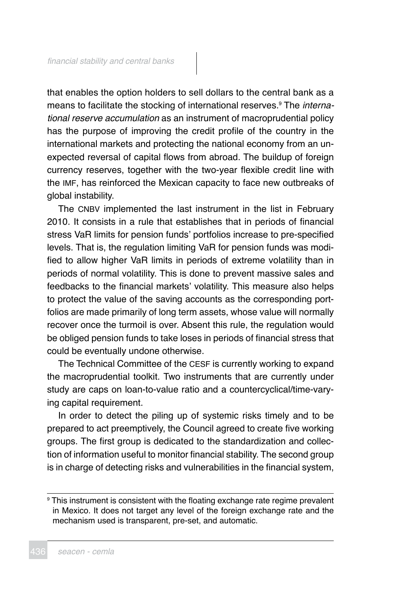that enables the option holders to sell dollars to the central bank as a means to facilitate the stocking of international reserves.<sup>9</sup> The *interna*tional reserve accumulation as an instrument of macroprudential policy has the purpose of improving the credit profile of the country in the international markets and protecting the national economy from an unexpected reversal of capital flows from abroad. The buildup of foreign currency reserves, together with the two-year flexible credit line with the IMF, has reinforced the Mexican capacity to face new outbreaks of global instability.

The CNBV implemented the last instrument in the list in February 2010. It consists in a rule that establishes that in periods of financial stress VaR limits for pension funds' portfolios increase to pre-specified levels. That is, the regulation limiting VaR for pension funds was modified to allow higher VaR limits in periods of extreme volatility than in periods of normal volatility. This is done to prevent massive sales and feedbacks to the financial markets' volatility. This measure also helps to protect the value of the saving accounts as the corresponding portfolios are made primarily of long term assets, whose value will normally recover once the turmoil is over. Absent this rule, the regulation would be obliged pension funds to take loses in periods of financial stress that could be eventually undone otherwise.

The Technical Committee of the CESF is currently working to expand the macroprudential toolkit. Two instruments that are currently under study are caps on loan-to-value ratio and a countercyclical/time-varying capital requirement.

In order to detect the piling up of systemic risks timely and to be prepared to act preemptively, the Council agreed to create five working groups. The first group is dedicated to the standardization and collection of information useful to monitor financial stability. The second group is in charge of detecting risks and vulnerabilities in the financial system,

<sup>9</sup> This instrument is consistent with the floating exchange rate regime prevalent in Mexico. It does not target any level of the foreign exchange rate and the mechanism used is transparent, pre-set, and automatic.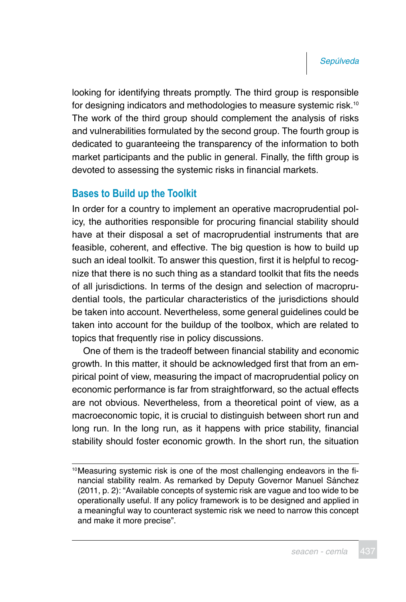looking for identifying threats promptly. The third group is responsible for designing indicators and methodologies to measure systemic risk.10 The work of the third group should complement the analysis of risks and vulnerabilities formulated by the second group. The fourth group is dedicated to guaranteeing the transparency of the information to both market participants and the public in general. Finally, the fifth group is devoted to assessing the systemic risks in financial markets.

## **Bases to Build up the Toolkit**

In order for a country to implement an operative macroprudential policy, the authorities responsible for procuring financial stability should have at their disposal a set of macroprudential instruments that are feasible, coherent, and effective. The big question is how to build up such an ideal toolkit. To answer this question, first it is helpful to recognize that there is no such thing as a standard toolkit that fits the needs of all jurisdictions. In terms of the design and selection of macroprudential tools, the particular characteristics of the jurisdictions should be taken into account. Nevertheless, some general guidelines could be taken into account for the buildup of the toolbox, which are related to topics that frequently rise in policy discussions.

One of them is the tradeoff between financial stability and economic growth. In this matter, it should be acknowledged first that from an empirical point of view, measuring the impact of macroprudential policy on economic performance is far from straightforward, so the actual effects are not obvious. Nevertheless, from a theoretical point of view, as a macroeconomic topic, it is crucial to distinguish between short run and long run. In the long run, as it happens with price stability, financial stability should foster economic growth. In the short run, the situation

<sup>10</sup>Measuring systemic risk is one of the most challenging endeavors in the financial stability realm. As remarked by Deputy Governor Manuel Sánchez (2011, p. 2): "Available concepts of systemic risk are vague and too wide to be operationally useful. If any policy framework is to be designed and applied in a meaningful way to counteract systemic risk we need to narrow this concept and make it more precise".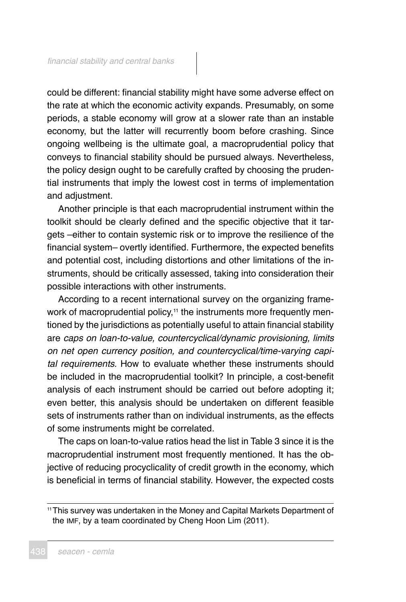could be different: financial stability might have some adverse effect on the rate at which the economic activity expands. Presumably, on some periods, a stable economy will grow at a slower rate than an instable economy, but the latter will recurrently boom before crashing. Since ongoing wellbeing is the ultimate goal, a macroprudential policy that conveys to financial stability should be pursued always. Nevertheless, the policy design ought to be carefully crafted by choosing the prudential instruments that imply the lowest cost in terms of implementation and adjustment.

Another principle is that each macroprudential instrument within the toolkit should be clearly defined and the specific objective that it targets –either to contain systemic risk or to improve the resilience of the financial system– overtly identified. Furthermore, the expected benefits and potential cost, including distortions and other limitations of the instruments, should be critically assessed, taking into consideration their possible interactions with other instruments.

According to a recent international survey on the organizing framework of macroprudential policy,<sup>11</sup> the instruments more frequently mentioned by the jurisdictions as potentially useful to attain financial stability are caps on loan-to-value, countercyclical/dynamic provisioning, limits on net open currency position, and countercyclical/time-varying capital requirements. How to evaluate whether these instruments should be included in the macroprudential toolkit? In principle, a cost-benefit analysis of each instrument should be carried out before adopting it; even better, this analysis should be undertaken on different feasible sets of instruments rather than on individual instruments, as the effects of some instruments might be correlated.

The caps on loan-to-value ratios head the list in Table 3 since it is the macroprudential instrument most frequently mentioned. It has the objective of reducing procyclicality of credit growth in the economy, which is beneficial in terms of financial stability. However, the expected costs

<sup>11</sup>This survey was undertaken in the Money and Capital Markets Department of the IMF, by a team coordinated by Cheng Hoon Lim (2011).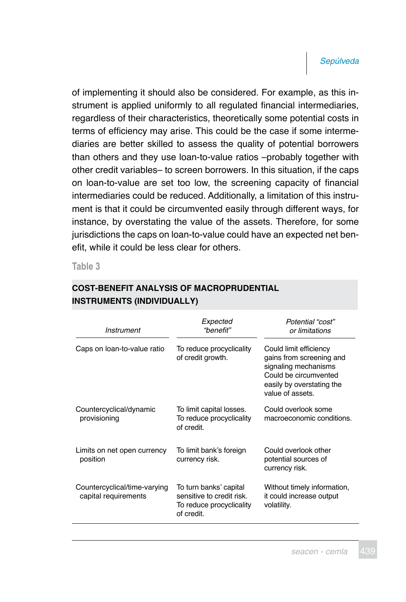of implementing it should also be considered. For example, as this instrument is applied uniformly to all regulated financial intermediaries, regardless of their characteristics, theoretically some potential costs in terms of efficiency may arise. This could be the case if some intermediaries are better skilled to assess the quality of potential borrowers than others and they use loan-to-value ratios –probably together with other credit variables– to screen borrowers. In this situation, if the caps on loan-to-value are set too low, the screening capacity of financial intermediaries could be reduced. Additionally, a limitation of this instrument is that it could be circumvented easily through different ways, for instance, by overstating the value of the assets. Therefore, for some jurisdictions the caps on loan-to-value could have an expected net benefit, while it could be less clear for others.

**Table 3**

| Instrument                                           | Expected<br>"benefit"                                                                         | Potential "cost"<br>or limitations                                                                                                                   |
|------------------------------------------------------|-----------------------------------------------------------------------------------------------|------------------------------------------------------------------------------------------------------------------------------------------------------|
| Caps on loan-to-value ratio                          | To reduce procyclicality<br>of credit growth.                                                 | Could limit efficiency<br>gains from screening and<br>signaling mechanisms<br>Could be circumvented<br>easily by overstating the<br>value of assets. |
| Countercyclical/dynamic<br>provisioning              | To limit capital losses.<br>To reduce procyclicality<br>of credit.                            | Could overlook some<br>macroeconomic conditions.                                                                                                     |
| Limits on net open currency<br>position              | To limit bank's foreign<br>currency risk.                                                     | Could overlook other<br>potential sources of<br>currency risk.                                                                                       |
| Countercyclical/time-varying<br>capital requirements | To turn banks' capital<br>sensitive to credit risk.<br>To reduce procyclicality<br>of credit. | Without timely information,<br>it could increase output<br>volatility.                                                                               |

## **COST-BENEFIT ANALYSIS OF MACROPRUDENTIAL INSTRUMENTS (INDIVIDUALLY)**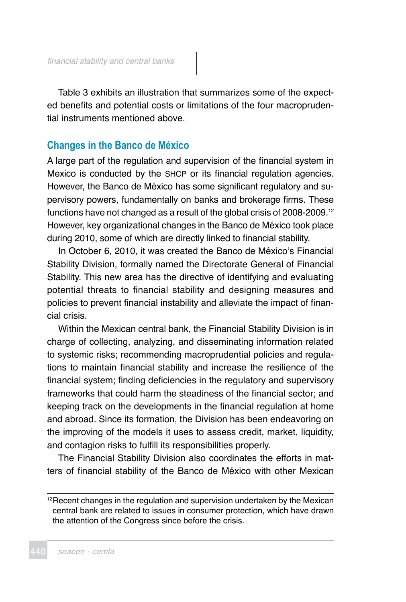Table 3 exhibits an illustration that summarizes some of the expected benefits and potential costs or limitations of the four macroprudential instruments mentioned above.

## **Changes in the Banco de México**

A large part of the regulation and supervision of the financial system in Mexico is conducted by the SHCP or its financial regulation agencies. However, the Banco de México has some significant regulatory and supervisory powers, fundamentally on banks and brokerage firms. These functions have not changed as a result of the global crisis of 2008-2009.<sup>12</sup> However, key organizational changes in the Banco de México took place during 2010, some of which are directly linked to financial stability.

In October 6, 2010, it was created the Banco de México's Financial Stability Division, formally named the Directorate General of Financial Stability. This new area has the directive of identifying and evaluating potential threats to financial stability and designing measures and policies to prevent financial instability and alleviate the impact of financial crisis.

Within the Mexican central bank, the Financial Stability Division is in charge of collecting, analyzing, and disseminating information related to systemic risks; recommending macroprudential policies and regulations to maintain financial stability and increase the resilience of the financial system; finding deficiencies in the regulatory and supervisory frameworks that could harm the steadiness of the financial sector; and keeping track on the developments in the financial regulation at home and abroad. Since its formation, the Division has been endeavoring on the improving of the models it uses to assess credit, market, liquidity, and contagion risks to fulfill its responsibilities properly.

The Financial Stability Division also coordinates the efforts in matters of financial stability of the Banco de México with other Mexican

<sup>&</sup>lt;sup>12</sup> Recent changes in the regulation and supervision undertaken by the Mexican central bank are related to issues in consumer protection, which have drawn the attention of the Congress since before the crisis.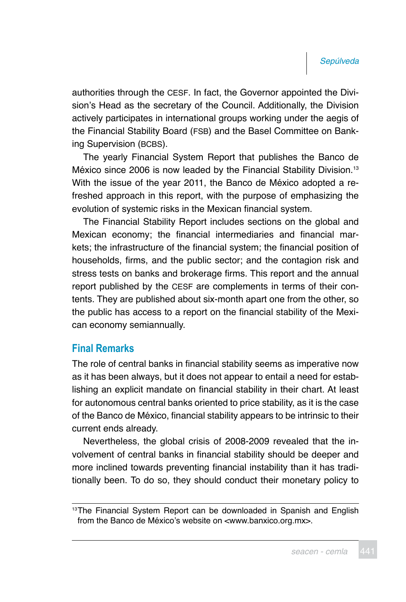authorities through the CESF. In fact, the Governor appointed the Division's Head as the secretary of the Council. Additionally, the Division actively participates in international groups working under the aegis of the Financial Stability Board (FSB) and the Basel Committee on Banking Supervision (BCBS).

The yearly Financial System Report that publishes the Banco de México since 2006 is now leaded by the Financial Stability Division.<sup>13</sup> With the issue of the year 2011, the Banco de México adopted a refreshed approach in this report, with the purpose of emphasizing the evolution of systemic risks in the Mexican financial system.

The Financial Stability Report includes sections on the global and Mexican economy; the financial intermediaries and financial markets; the infrastructure of the financial system; the financial position of households, firms, and the public sector; and the contagion risk and stress tests on banks and brokerage firms. This report and the annual report published by the CESF are complements in terms of their contents. They are published about six-month apart one from the other, so the public has access to a report on the financial stability of the Mexican economy semiannually.

## **Final Remarks**

The role of central banks in financial stability seems as imperative now as it has been always, but it does not appear to entail a need for establishing an explicit mandate on financial stability in their chart. At least for autonomous central banks oriented to price stability, as it is the case of the Banco de México, financial stability appears to be intrinsic to their current ends already.

Nevertheless, the global crisis of 2008-2009 revealed that the involvement of central banks in financial stability should be deeper and more inclined towards preventing financial instability than it has traditionally been. To do so, they should conduct their monetary policy to

<sup>&</sup>lt;sup>13</sup>The Financial System Report can be downloaded in Spanish and English from the Banco de México's website on <www.banxico.org.mx>.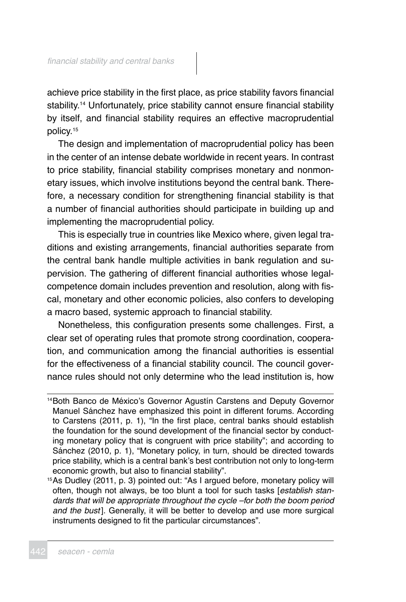achieve price stability in the first place, as price stability favors financial stability.<sup>14</sup> Unfortunately, price stability cannot ensure financial stability by itself, and financial stability requires an effective macroprudential policy.<sup>15</sup>

The design and implementation of macroprudential policy has been in the center of an intense debate worldwide in recent years. In contrast to price stability, financial stability comprises monetary and nonmonetary issues, which involve institutions beyond the central bank. Therefore, a necessary condition for strengthening financial stability is that a number of financial authorities should participate in building up and implementing the macroprudential policy.

This is especially true in countries like Mexico where, given legal traditions and existing arrangements, financial authorities separate from the central bank handle multiple activities in bank regulation and supervision. The gathering of different financial authorities whose legalcompetence domain includes prevention and resolution, along with fiscal, monetary and other economic policies, also confers to developing a macro based, systemic approach to financial stability.

Nonetheless, this configuration presents some challenges. First, a clear set of operating rules that promote strong coordination, cooperation, and communication among the financial authorities is essential for the effectiveness of a financial stability council. The council governance rules should not only determine who the lead institution is, how

<sup>15</sup>As Dudley (2011, p. 3) pointed out: "As I argued before, monetary policy will often, though not always, be too blunt a tool for such tasks [establish standards that will be appropriate throughout the cycle –for both the boom period and the bust]. Generally, it will be better to develop and use more surgical instruments designed to fit the particular circumstances".

<sup>14</sup>Both Banco de México's Governor Agustín Carstens and Deputy Governor Manuel Sánchez have emphasized this point in different forums. According to Carstens (2011, p. 1), "In the first place, central banks should establish the foundation for the sound development of the financial sector by conducting monetary policy that is congruent with price stability"; and according to Sánchez (2010, p. 1), "Monetary policy, in turn, should be directed towards price stability, which is a central bank's best contribution not only to long-term economic growth, but also to financial stability".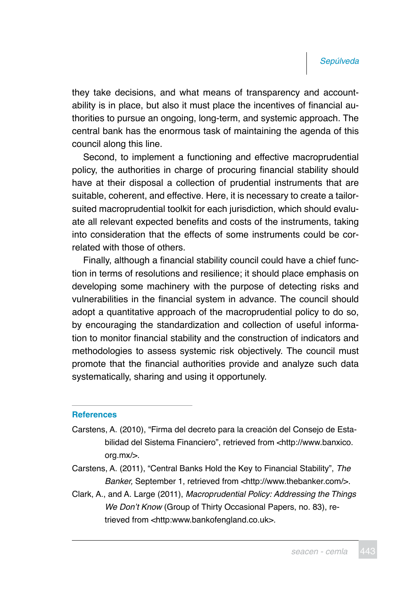they take decisions, and what means of transparency and accountability is in place, but also it must place the incentives of financial authorities to pursue an ongoing, long-term, and systemic approach. The central bank has the enormous task of maintaining the agenda of this council along this line.

Second, to implement a functioning and effective macroprudential policy, the authorities in charge of procuring financial stability should have at their disposal a collection of prudential instruments that are suitable, coherent, and effective. Here, it is necessary to create a tailorsuited macroprudential toolkit for each jurisdiction, which should evaluate all relevant expected benefits and costs of the instruments, taking into consideration that the effects of some instruments could be correlated with those of others.

Finally, although a financial stability council could have a chief function in terms of resolutions and resilience; it should place emphasis on developing some machinery with the purpose of detecting risks and vulnerabilities in the financial system in advance. The council should adopt a quantitative approach of the macroprudential policy to do so, by encouraging the standardization and collection of useful information to monitor financial stability and the construction of indicators and methodologies to assess systemic risk objectively. The council must promote that the financial authorities provide and analyze such data systematically, sharing and using it opportunely.

#### **References**

- Carstens, A. (2010), "Firma del decreto para la creación del Consejo de Estabilidad del Sistema Financiero", retrieved from <http:/[/www.banxico.](http://www.banxico.org.mx) [org.mx/](http://www.banxico.org.mx)>.
- Carstens, A. (2011), "Central Banks Hold the Key to Financial Stability", The Banker, September 1, retrieved from <http://[www.thebanker.com](http://www.thebanker.com/)/>.
- Clark, A., and A. Large (2011), Macroprudential Policy: Addressing the Things We Don't Know (Group of Thirty Occasional Papers, no. 83), retrieved from <http:www.bankofengland.co.uk>.